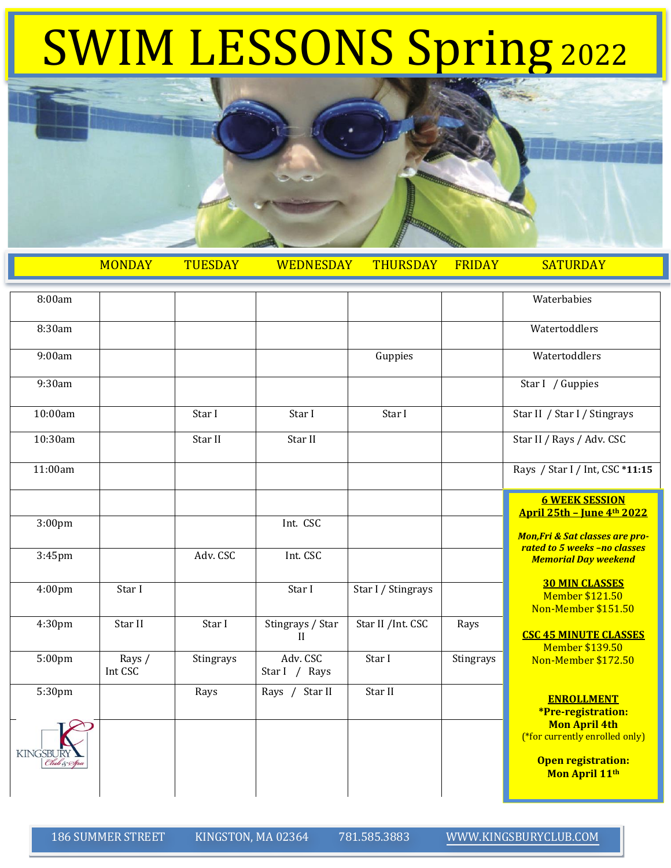## SWIM LESSONS Spring <sup>2022</sup>



|                                | <b>MONDAY</b>     | <b>TUESDAY</b> | <b>WEDNESDAY</b>                 | <b>THURSDAY</b>    | <b>FRIDAY</b> | <b>SATURDAY</b>                                                                                       |
|--------------------------------|-------------------|----------------|----------------------------------|--------------------|---------------|-------------------------------------------------------------------------------------------------------|
| 8:00am                         |                   |                |                                  |                    |               | Waterbabies                                                                                           |
| 8:30am                         |                   |                |                                  |                    |               | Watertoddlers                                                                                         |
| 9:00am                         |                   |                |                                  | Guppies            |               | Watertoddlers                                                                                         |
| 9:30am                         |                   |                |                                  |                    |               | Star I / Guppies                                                                                      |
| 10:00am                        |                   | Star I         | Star I                           | Star I             |               | Star II / Star I / Stingrays                                                                          |
| 10:30am                        |                   | Star II        | Star II                          |                    |               | Star II / Rays / Adv. CSC                                                                             |
| 11:00am                        |                   |                |                                  |                    |               | Rays / Star I / Int, CSC *11:15                                                                       |
|                                |                   |                |                                  |                    |               | <b>6 WEEK SESSION</b><br><u> April 25th - June 4th 2022</u>                                           |
| 3:00 <sub>pm</sub>             |                   |                | Int. CSC                         |                    |               | <b>Mon, Fri &amp; Sat classes are pro-</b>                                                            |
| 3:45pm                         |                   | Adv. CSC       | Int. CSC                         |                    |               | rated to 5 weeks -no classes<br><b>Memorial Day weekend</b>                                           |
| 4:00 <sub>pm</sub>             | Star I            |                | Star I                           | Star I / Stingrays |               | <b>30 MIN CLASSES</b><br>Member \$121.50<br>Non-Member \$151.50                                       |
| 4:30 <sub>pm</sub>             | Star II           | Star I         | Stingrays / Star<br>$\mathbf{I}$ | Star II /Int. CSC  | Rays          | <b>CSC 45 MINUTE CLASSES</b><br><b>Member \$139.50</b>                                                |
| $5:00$ pm                      | Rays /<br>Int CSC | Stingrays      | Adv. CSC<br>Star I / Rays        | Star I             | Stingrays     | Non-Member \$172.50                                                                                   |
| 5:30pm                         |                   | Rays           | Rays / Star II                   | Star II            |               | <b>ENROLLMENT</b><br>*Pre-registration:                                                               |
| <b>KINGSBURY</b><br>Club & Spa |                   |                |                                  |                    |               | <b>Mon April 4th</b><br>(*for currently enrolled only)<br><b>Open registration:</b><br>Mon April 11th |